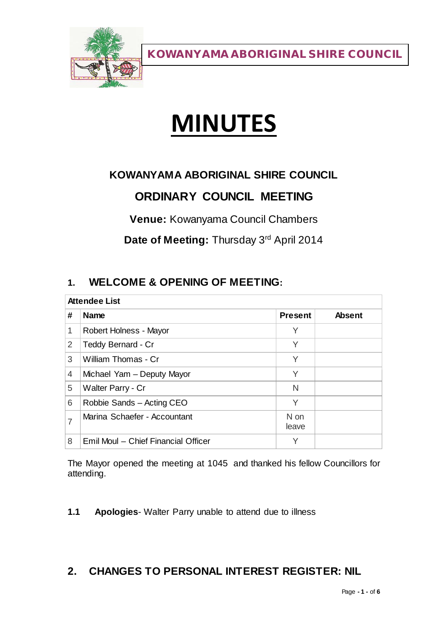

# **MINUTES**

# **KOWANYAMA ABORIGINAL SHIRE COUNCIL**

# **ORDINARY COUNCIL MEETING**

**Venue:** Kowanyama Council Chambers

**Date of Meeting:** Thursday 3rd April 2014

# **1. WELCOME & OPENING OF MEETING:**

| <b>Attendee List</b> |                                     |                |               |
|----------------------|-------------------------------------|----------------|---------------|
| #                    | <b>Name</b>                         | <b>Present</b> | <b>Absent</b> |
| 1                    | Robert Holness - Mayor              | Υ              |               |
| 2                    | Teddy Bernard - Cr                  | Υ              |               |
| 3                    | William Thomas - Cr                 | Υ              |               |
| 4                    | Michael Yam - Deputy Mayor          | Υ              |               |
| 5                    | Walter Parry - Cr                   | N              |               |
| 6                    | Robbie Sands - Acting CEO           | Υ              |               |
| 7                    | Marina Schaefer - Accountant        | N on<br>leave  |               |
| 8                    | Emil Moul - Chief Financial Officer | Υ              |               |

The Mayor opened the meeting at 1045 and thanked his fellow Councillors for attending.

**1.1 Apologies**- Walter Parry unable to attend due to illness

## **2. CHANGES TO PERSONAL INTEREST REGISTER: NIL**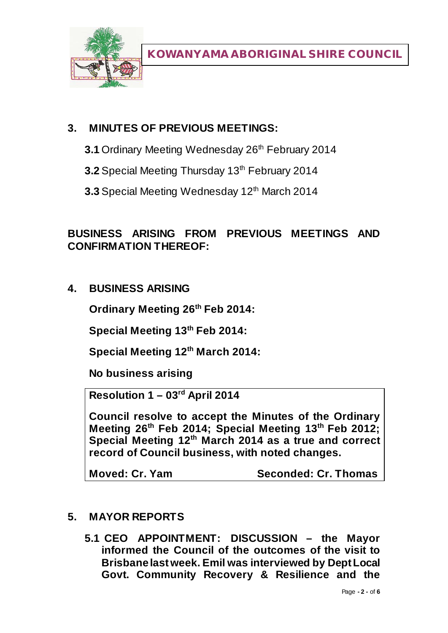

## **3. MINUTES OF PREVIOUS MEETINGS:**

- **3.1** Ordinary Meeting Wednesday 26<sup>th</sup> February 2014
- **3.2** Special Meeting Thursday 13<sup>th</sup> February 2014
- **3.3** Special Meeting Wednesday 12<sup>th</sup> March 2014

## **BUSINESS ARISING FROM PREVIOUS MEETINGS AND CONFIRMATION THEREOF:**

**4. BUSINESS ARISING**

**Ordinary Meeting 26th Feb 2014:**

**Special Meeting 13th Feb 2014:**

**Special Meeting 12th March 2014:**

**No business arising**

**Resolution 1 – 03rd April 2014**

**Council resolve to accept the Minutes of the Ordinary Meeting 26th Feb 2014; Special Meeting 13th Feb 2012; Special Meeting 12th March 2014 as a true and correct record of Council business, with noted changes.**

**Moved: Cr. Yam Seconded: Cr. Thomas**

## **5. MAYOR REPORTS**

**5.1 CEO APPOINTMENT: DISCUSSION – the Mayor informed the Council of the outcomes of the visit to Brisbane last week. Emil was interviewed by Dept Local Govt. Community Recovery & Resilience and the**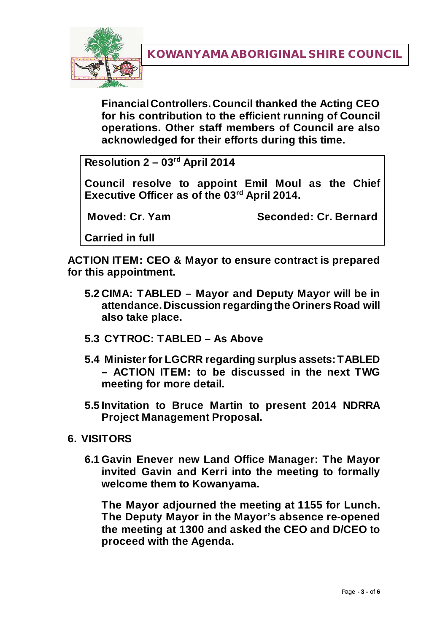

**Financial Controllers. Council thanked the Acting CEO for his contribution to the efficient running of Council operations. Other staff members of Council are also acknowledged for their efforts during this time.**

**Resolution 2 – 03rd April 2014**

**Council resolve to appoint Emil Moul as the Chief Executive Officer as of the 03rd April 2014.** 

**Moved: Cr. Yam Seconded: Cr. Bernard**

**Carried in full**

**ACTION ITEM: CEO & Mayor to ensure contract is prepared for this appointment.**

- **5.2 CIMA: TABLED – Mayor and Deputy Mayor will be in attendance. Discussion regarding the Oriners Road will also take place.**
- **5.3 CYTROC: TABLED – As Above**
- **5.4 Minister for LGCRR regarding surplus assets: TABLED – ACTION ITEM: to be discussed in the next TWG meeting for more detail.**
- **5.5 Invitation to Bruce Martin to present 2014 NDRRA Project Management Proposal.**

#### **6. VISITORS**

**6.1 Gavin Enever new Land Office Manager: The Mayor invited Gavin and Kerri into the meeting to formally welcome them to Kowanyama.**

**The Mayor adjourned the meeting at 1155 for Lunch. The Deputy Mayor in the Mayor's absence re-opened the meeting at 1300 and asked the CEO and D/CEO to proceed with the Agenda.**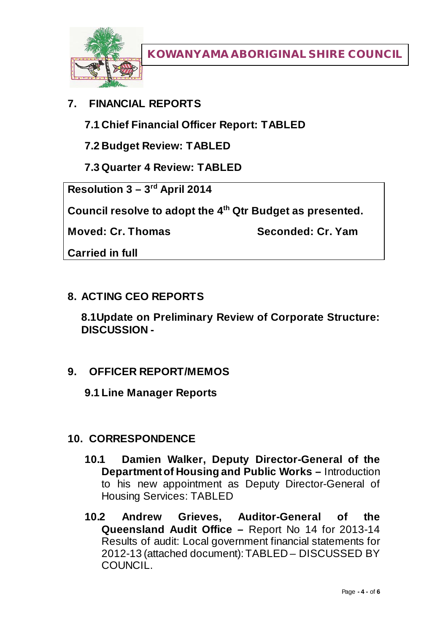

# **7. FINANCIAL REPORTS**

**7.1 Chief Financial Officer Report: TABLED**

**7.2 Budget Review: TABLED**

**7.3 Quarter 4 Review: TABLED**

**Resolution 3 – 3rd April 2014**

**Council resolve to adopt the 4th Qtr Budget as presented.** 

**Moved: Cr. Thomas Seconded: Cr. Yam**

**Carried in full**

#### **8. ACTING CEO REPORTS**

**8.1Update on Preliminary Review of Corporate Structure: DISCUSSION -**

## **9. OFFICER REPORT/MEMOS**

**9.1 Line Manager Reports**

## **10. CORRESPONDENCE**

- **10.1 Damien Walker, Deputy Director-General of the Department of Housing and Public Works –** Introduction to his new appointment as Deputy Director-General of Housing Services: TABLED
- **10.2 Andrew Grieves, Auditor-General of the Queensland Audit Office –** Report No 14 for 2013-14 Results of audit: Local government financial statements for 2012-13 (attached document): TABLED – DISCUSSED BY **COUNCIL**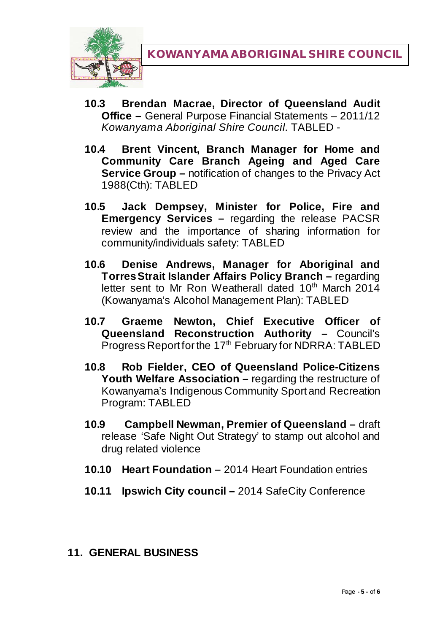

- **10.3 Brendan Macrae, Director of Queensland Audit Office –** General Purpose Financial Statements – 2011/12 *Kowanyama Aboriginal Shire Council.* TABLED -
- **10.4 Brent Vincent, Branch Manager for Home and Community Care Branch Ageing and Aged Care Service Group –** notification of changes to the Privacy Act 1988(Cth): TABLED
- **10.5 Jack Dempsey, Minister for Police, Fire and Emergency Services –** regarding the release PACSR review and the importance of sharing information for community/individuals safety: TABLED
- **10.6 Denise Andrews, Manager for Aboriginal and Torres Strait Islander Affairs Policy Branch –** regarding letter sent to Mr Ron Weatherall dated 10<sup>th</sup> March 2014 (Kowanyama's Alcohol Management Plan): TABLED
- **10.7 Graeme Newton, Chief Executive Officer of Queensland Reconstruction Authority –** Council's Progress Report for the 17<sup>th</sup> February for NDRRA: TABLED
- **10.8 Rob Fielder, CEO of Queensland Police-Citizens Youth Welfare Association –** regarding the restructure of Kowanyama's Indigenous Community Sport and Recreation Program: TABLED
- **10.9 Campbell Newman, Premier of Queensland –** draft release 'Safe Night Out Strategy' to stamp out alcohol and drug related violence
- **10.10 Heart Foundation –** 2014 Heart Foundation entries
- **10.11 Ipswich City council –** 2014 SafeCity Conference

#### **11. GENERAL BUSINESS**